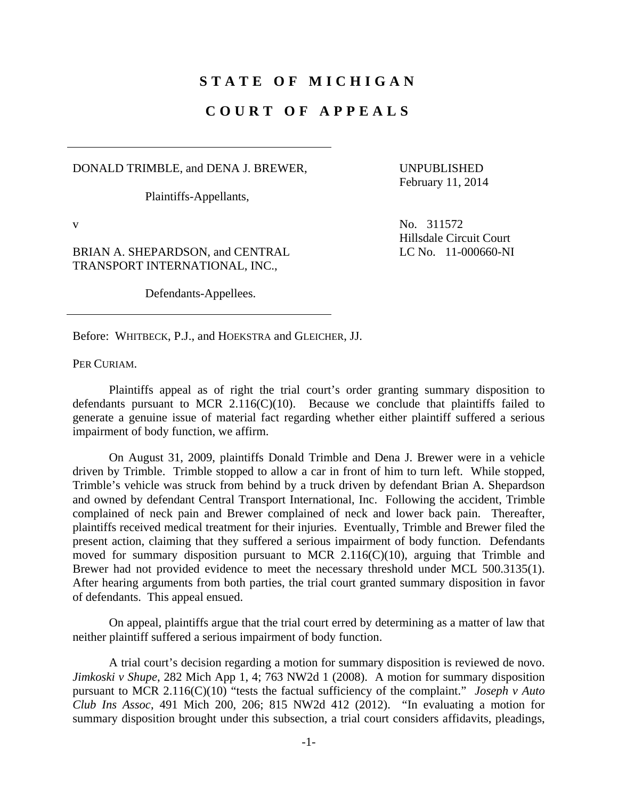## **STATE OF MICHIGAN**

## **COURT OF APPEALS**

DONALD TRIMBLE, and DENA J. BREWER,

Plaintiffs-Appellants,

UNPUBLISHED February 11, 2014

BRIAN A. SHEPARDSON, and CENTRAL TRANSPORT INTERNATIONAL, INC.,

Defendants-Appellees.

v No.  $311572$ Hillsdale Circuit Court LC No. 11-000660-NI

Before: WHITBECK, P.J., and HOEKSTRA and GLEICHER, JJ.

PER CURIAM.

 Plaintiffs appeal as of right the trial court's order granting summary disposition to defendants pursuant to MCR  $2.116(C)(10)$ . Because we conclude that plaintiffs failed to generate a genuine issue of material fact regarding whether either plaintiff suffered a serious impairment of body function, we affirm.

 On August 31, 2009, plaintiffs Donald Trimble and Dena J. Brewer were in a vehicle driven by Trimble. Trimble stopped to allow a car in front of him to turn left. While stopped, Trimble's vehicle was struck from behind by a truck driven by defendant Brian A. Shepardson and owned by defendant Central Transport International, Inc. Following the accident, Trimble complained of neck pain and Brewer complained of neck and lower back pain. Thereafter, plaintiffs received medical treatment for their injuries. Eventually, Trimble and Brewer filed the present action, claiming that they suffered a serious impairment of body function. Defendants moved for summary disposition pursuant to MCR 2.116(C)(10), arguing that Trimble and Brewer had not provided evidence to meet the necessary threshold under MCL 500.3135(1). After hearing arguments from both parties, the trial court granted summary disposition in favor of defendants. This appeal ensued.

 On appeal, plaintiffs argue that the trial court erred by determining as a matter of law that neither plaintiff suffered a serious impairment of body function.

 A trial court's decision regarding a motion for summary disposition is reviewed de novo. *Jimkoski v Shupe*, 282 Mich App 1, 4; 763 NW2d 1 (2008). A motion for summary disposition pursuant to MCR 2.116(C)(10) "tests the factual sufficiency of the complaint." *Joseph v Auto Club Ins Assoc*, 491 Mich 200, 206; 815 NW2d 412 (2012). "In evaluating a motion for summary disposition brought under this subsection, a trial court considers affidavits, pleadings,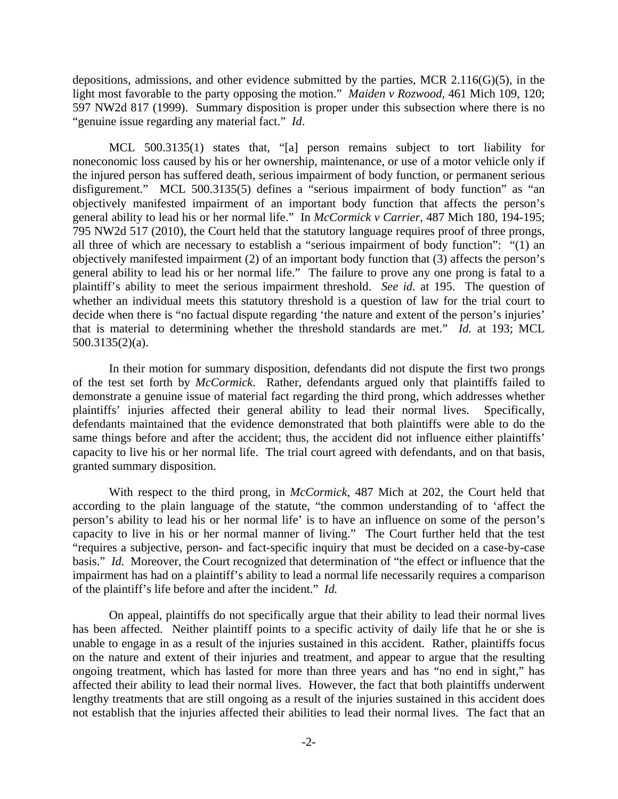depositions, admissions, and other evidence submitted by the parties, MCR 2.116(G)(5), in the light most favorable to the party opposing the motion." *Maiden v Rozwood*, 461 Mich 109, 120; 597 NW2d 817 (1999). Summary disposition is proper under this subsection where there is no "genuine issue regarding any material fact." *Id*.

 MCL 500.3135(1) states that, "[a] person remains subject to tort liability for noneconomic loss caused by his or her ownership, maintenance, or use of a motor vehicle only if the injured person has suffered death, serious impairment of body function, or permanent serious disfigurement." MCL 500.3135(5) defines a "serious impairment of body function" as "an objectively manifested impairment of an important body function that affects the person's general ability to lead his or her normal life." In *McCormick v Carrier*, 487 Mich 180, 194-195; 795 NW2d 517 (2010), the Court held that the statutory language requires proof of three prongs, all three of which are necessary to establish a "serious impairment of body function": "(1) an objectively manifested impairment (2) of an important body function that (3) affects the person's general ability to lead his or her normal life." The failure to prove any one prong is fatal to a plaintiff's ability to meet the serious impairment threshold. *See id.* at 195. The question of whether an individual meets this statutory threshold is a question of law for the trial court to decide when there is "no factual dispute regarding 'the nature and extent of the person's injuries' that is material to determining whether the threshold standards are met." *Id.* at 193; MCL 500.3135(2)(a).

 In their motion for summary disposition, defendants did not dispute the first two prongs of the test set forth by *McCormick*. Rather, defendants argued only that plaintiffs failed to demonstrate a genuine issue of material fact regarding the third prong, which addresses whether plaintiffs' injuries affected their general ability to lead their normal lives. Specifically, defendants maintained that the evidence demonstrated that both plaintiffs were able to do the same things before and after the accident; thus, the accident did not influence either plaintiffs' capacity to live his or her normal life. The trial court agreed with defendants, and on that basis, granted summary disposition.

 With respect to the third prong, in *McCormick*, 487 Mich at 202, the Court held that according to the plain language of the statute, "the common understanding of to 'affect the person's ability to lead his or her normal life' is to have an influence on some of the person's capacity to live in his or her normal manner of living." The Court further held that the test "requires a subjective, person- and fact-specific inquiry that must be decided on a case-by-case basis." *Id.* Moreover, the Court recognized that determination of "the effect or influence that the impairment has had on a plaintiff's ability to lead a normal life necessarily requires a comparison of the plaintiff's life before and after the incident." *Id.*

 On appeal, plaintiffs do not specifically argue that their ability to lead their normal lives has been affected. Neither plaintiff points to a specific activity of daily life that he or she is unable to engage in as a result of the injuries sustained in this accident. Rather, plaintiffs focus on the nature and extent of their injuries and treatment, and appear to argue that the resulting ongoing treatment, which has lasted for more than three years and has "no end in sight," has affected their ability to lead their normal lives. However, the fact that both plaintiffs underwent lengthy treatments that are still ongoing as a result of the injuries sustained in this accident does not establish that the injuries affected their abilities to lead their normal lives. The fact that an